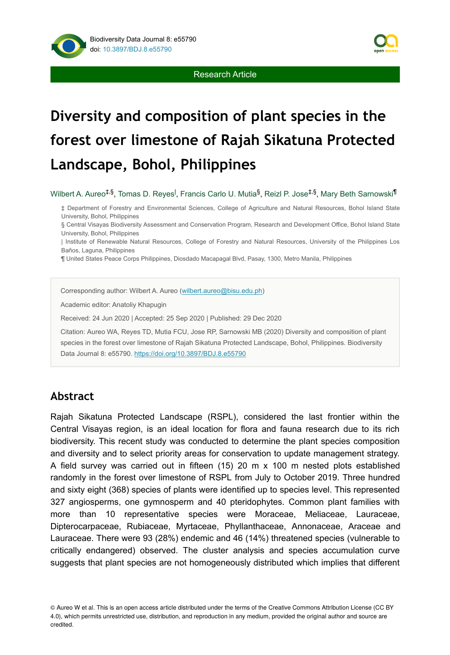



# **Diversity and composition of plant species in the forest over limestone of Rajah Sikatuna Protected Landscape, Bohol, Philippines**

Wilbert A. Aureo<sup>‡,§</sup>, Tomas D. Reyes<sup>l</sup>, Francis Carlo U. Mutia<sup>§</sup>, Reizl P. Jose<sup>‡,§</sup>, Mary Beth Sarnowski<sup>¶</sup>

‡ Department of Forestry and Environmental Sciences, College of Agriculture and Natural Resources, Bohol Island State University, Bohol, Philippines

§ Central Visayas Biodiversity Assessment and Conservation Program, Research and Development Office, Bohol Island State University, Bohol, Philippines

| Institute of Renewable Natural Resources, College of Forestry and Natural Resources, University of the Philippines Los Baños, Laguna, Philippines

¶ United States Peace Corps Philippines, Diosdado Macapagal Blvd, Pasay, 1300, Metro Manila, Philippines

Corresponding author: Wilbert A. Aureo ([wilbert.aureo@bisu.edu.ph](mailto:wilbert.aureo@bisu.edu.ph))

Academic editor: Anatoliy Khapugin

Received: 24 Jun 2020 | Accepted: 25 Sep 2020 | Published: 29 Dec 2020

Citation: Aureo WA, Reyes TD, Mutia FCU, Jose RP, Sarnowski MB (2020) Diversity and composition of plant species in the forest over limestone of Rajah Sikatuna Protected Landscape, Bohol, Philippines. Biodiversity Data Journal 8: e55790. <https://doi.org/10.3897/BDJ.8.e55790>

# **Abstract**

Rajah Sikatuna Protected Landscape (RSPL), considered the last frontier within the Central Visayas region, is an ideal location for flora and fauna research due to its rich biodiversity. This recent study was conducted to determine the plant species composition and diversity and to select priority areas for conservation to update management strategy. A field survey was carried out in fifteen (15) 20 m x 100 m nested plots established randomly in the forest over limestone of RSPL from July to October 2019. Three hundred and sixty eight (368) species of plants were identified up to species level. This represented 327 angiosperms, one gymnosperm and 40 pteridophytes. Common plant families with more than 10 representative species were Moraceae, Meliaceae, Lauraceae, Dipterocarpaceae, Rubiaceae, Myrtaceae, Phyllanthaceae, Annonaceae, Araceae and Lauraceae. There were 93 (28%) endemic and 46 (14%) threatened species (vulnerable to critically endangered) observed. The cluster analysis and species accumulation curve suggests that plant species are not homogeneously distributed which implies that different

© Aureo W et al. This is an open access article distributed under the terms of the Creative Commons Attribution License (CC BY 4.0), which permits unrestricted use, distribution, and reproduction in any medium, provided the original author and source are credited.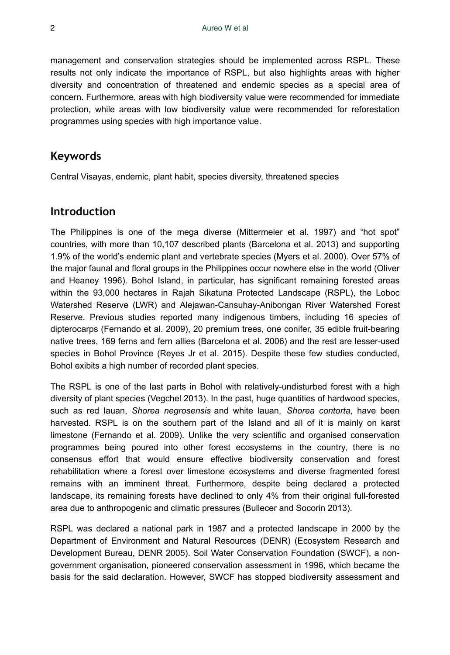management and conservation strategies should be implemented across RSPL. These results not only indicate the importance of RSPL, but also highlights areas with higher diversity and concentration of threatened and endemic species as a special area of concern. Furthermore, areas with high biodiversity value were recommended for immediate protection, while areas with low biodiversity value were recommended for reforestation programmes using species with high importance value.

# **Keywords**

Central Visayas, endemic, plant habit, species diversity, threatened species

# **Introduction**

The Philippines is one of the mega diverse (Mittermeier et al. 1997) and "hot spot" countries, with more than 10,107 described plants (Barcelona et al. 2013) and supporting 1.9% of the world's endemic plant and vertebrate species (Myers et al. 2000). Over 57% of the major faunal and floral groups in the Philippines occur nowhere else in the world (Oliver and Heaney 1996). Bohol Island, in particular, has significant remaining forested areas within the 93,000 hectares in Rajah Sikatuna Protected Landscape (RSPL), the Loboc Watershed Reserve (LWR) and Alejawan-Cansuhay-Anibongan River Watershed Forest Reserve. Previous studies reported many indigenous timbers, including 16 species of dipterocarps (Fernando et al. 2009), 20 premium trees, one conifer, 35 edible fruit-bearing native trees, 169 ferns and fern allies (Barcelona et al. 2006) and the rest are lesser-used species in Bohol Province (Reyes Jr et al. 2015). Despite these few studies conducted, Bohol exibits a high number of recorded plant species.

The RSPL is one of the last parts in Bohol with relatively-undisturbed forest with a high diversity of plant species (Vegchel 2013). In the past, huge quantities of hardwood species, such as red lauan, *Shorea negrosensis* and white lauan, *Shorea contorta*, have been harvested. RSPL is on the southern part of the Island and all of it is mainly on karst limestone (Fernando et al. 2009). Unlike the very scientific and organised conservation programmes being poured into other forest ecosystems in the country, there is no consensus effort that would ensure effective biodiversity conservation and forest rehabilitation where a forest over limestone ecosystems and diverse fragmented forest remains with an imminent threat. Furthermore, despite being declared a protected landscape, its remaining forests have declined to only 4% from their original full-forested area due to anthropogenic and climatic pressures (Bullecer and Socorin 2013).

RSPL was declared a national park in 1987 and a protected landscape in 2000 by the Department of Environment and Natural Resources (DENR) (Ecosystem Research and Development Bureau, DENR 2005). Soil Water Conservation Foundation (SWCF), a nongovernment organisation, pioneered conservation assessment in 1996, which became the basis for the said declaration. However, SWCF has stopped biodiversity assessment and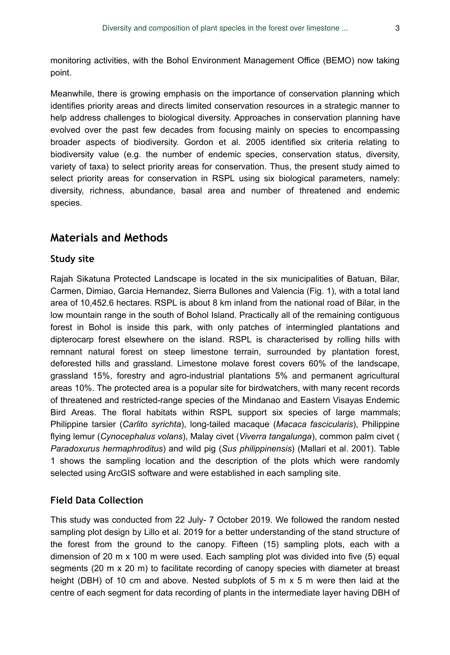monitoring activities, with the Bohol Environment Management Office (BEMO) now taking point.

Meanwhile, there is growing emphasis on the importance of conservation planning which identifies priority areas and directs limited conservation resources in a strategic manner to help address challenges to biological diversity. Approaches in conservation planning have evolved over the past few decades from focusing mainly on species to encompassing broader aspects of biodiversity. Gordon et al. 2005 identified six criteria relating to biodiversity value (e.g. the number of endemic species, conservation status, diversity, variety of taxa) to select priority areas for conservation. Thus, the present study aimed to select priority areas for conservation in RSPL using six biological parameters, namely: diversity, richness, abundance, basal area and number of threatened and endemic species.

# **Materials and Methods**

### **Study site**

Rajah Sikatuna Protected Landscape is located in the six municipalities of Batuan, Bilar, Carmen, Dimiao, Garcia Hernandez, Sierra Bullones and Valencia (Fig. 1), with a total land area of 10,452.6 hectares. RSPL is about 8 km inland from the national road of Bilar, in the low mountain range in the south of Bohol Island. Practically all of the remaining contiguous forest in Bohol is inside this park, with only patches of intermingled plantations and dipterocarp forest elsewhere on the island. RSPL is characterised by rolling hills with remnant natural forest on steep limestone terrain, surrounded by plantation forest, deforested hills and grassland. Limestone molave forest covers 60% of the landscape, grassland 15%, forestry and agro-industrial plantations 5% and permanent agricultural areas 10%. The protected area is a popular site for birdwatchers, with many recent records of threatened and restricted-range species of the Mindanao and Eastern Visayas Endemic Bird Areas. The floral habitats within RSPL support six species of large mammals; Philippine tarsier (*Carlito syrichta*), long-tailed macaque (*Macaca fascicularis*), Philippine flying lemur (*Cynocephalus volans*), Malay civet (*Viverra tangalunga*), common palm civet ( *Paradoxurus hermaphroditus*) and wild pig (*Sus philippinensis*) (Mallari et al. 2001). Table 1 shows the sampling location and the description of the plots which were randomly selected using ArcGIS software and were established in each sampling site.

### **Field Data Collection**

This study was conducted from 22 July- 7 October 2019. We followed the random nested sampling plot design by Lillo et al. 2019 for a better understanding of the stand structure of the forest from the ground to the canopy. Fifteen (15) sampling plots, each with a dimension of 20 m x 100 m were used. Each sampling plot was divided into five (5) equal segments (20 m x 20 m) to facilitate recording of canopy species with diameter at breast height (DBH) of 10 cm and above. Nested subplots of 5 m x 5 m were then laid at the centre of each segment for data recording of plants in the intermediate layer having DBH of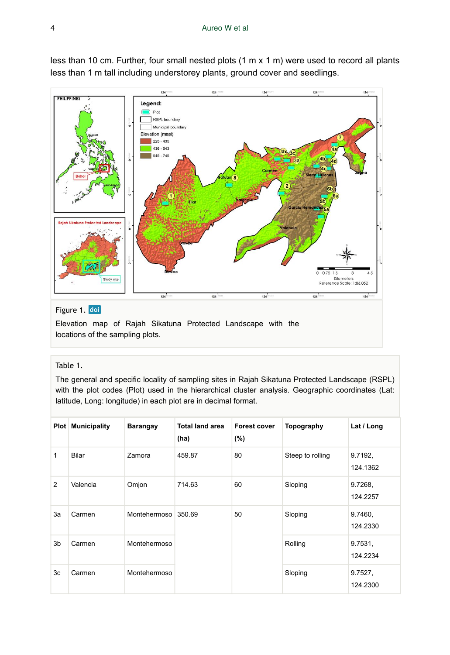

less than 10 cm. Further, four small nested plots (1 m x 1 m) were used to record all plants less than 1 m tall including understorey plants, ground cover and seedlings.

### Figure 1. doi

Elevation map of Rajah Sikatuna Protected Landscape with the locations of the sampling plots.

#### Table 1.

The general and specific locality of sampling sites in Rajah Sikatuna Protected Landscape (RSPL) with the plot codes (Plot) used in the hierarchical cluster analysis. Geographic coordinates (Lat: latitude, Long: longitude) in each plot are in decimal format.

|    | <b>Plot</b> Municipality | <b>Barangay</b>     | <b>Total land area</b><br>(ha) | <b>Forest cover</b><br>$(\% )$ | Topography       | Lat / Long          |
|----|--------------------------|---------------------|--------------------------------|--------------------------------|------------------|---------------------|
| 1  | Bilar                    | Zamora              | 459.87                         | 80                             | Steep to rolling | 9.7192,<br>124.1362 |
| 2  | Valencia                 | Omjon               | 714.63                         | 60                             | Sloping          | 9.7268,<br>124.2257 |
| 3a | Carmen                   | Montehermoso 350.69 |                                | 50                             | Sloping          | 9.7460,<br>124.2330 |
| 3b | Carmen                   | Montehermoso        |                                |                                | Rolling          | 9.7531,<br>124.2234 |
| 3c | Carmen                   | Montehermoso        |                                |                                | Sloping          | 9.7527,<br>124.2300 |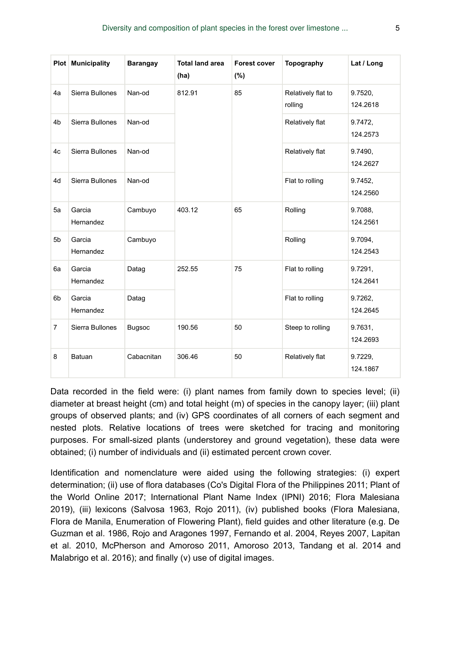|                | Plot Municipality   | Barangay      | <b>Total land area</b><br>(ha) | <b>Forest cover</b><br>$(\% )$ | Topography                    | Lat / Long          |
|----------------|---------------------|---------------|--------------------------------|--------------------------------|-------------------------------|---------------------|
| 4a             | Sierra Bullones     | Nan-od        | 812.91                         | 85                             | Relatively flat to<br>rolling | 9.7520,<br>124.2618 |
| 4 <sub>b</sub> | Sierra Bullones     | Nan-od        |                                |                                | Relatively flat               | 9.7472,<br>124.2573 |
| 4c             | Sierra Bullones     | Nan-od        |                                |                                | Relatively flat               | 9.7490,<br>124.2627 |
| 4d             | Sierra Bullones     | Nan-od        |                                |                                | Flat to rolling               | 9.7452,<br>124.2560 |
| 5a             | Garcia<br>Hernandez | Cambuyo       | 403.12                         | 65                             | Rolling                       | 9.7088,<br>124.2561 |
| 5 <sub>b</sub> | Garcia<br>Hernandez | Cambuyo       |                                |                                | Rolling                       | 9.7094,<br>124.2543 |
| 6a             | Garcia<br>Hernandez | Datag         | 252.55                         | 75                             | Flat to rolling               | 9.7291,<br>124.2641 |
| 6b             | Garcia<br>Hernandez | Datag         |                                |                                | Flat to rolling               | 9.7262,<br>124.2645 |
| $\overline{7}$ | Sierra Bullones     | <b>Bugsoc</b> | 190.56                         | 50                             | Steep to rolling              | 9.7631,<br>124.2693 |
| 8              | Batuan              | Cabacnitan    | 306.46                         | 50                             | Relatively flat               | 9.7229,<br>124.1867 |

Data recorded in the field were: (i) plant names from family down to species level; (ii) diameter at breast height (cm) and total height (m) of species in the canopy layer; (iii) plant groups of observed plants; and (iv) GPS coordinates of all corners of each segment and nested plots. Relative locations of trees were sketched for tracing and monitoring purposes. For small-sized plants (understorey and ground vegetation), these data were obtained; (i) number of individuals and (ii) estimated percent crown cover.

Identification and nomenclature were aided using the following strategies: (i) expert determination; (ii) use of flora databases (Co's Digital Flora of the Philippines 2011; Plant of the World Online 2017; International Plant Name Index (IPNI) 2016; Flora Malesiana 2019), (iii) lexicons (Salvosa 1963, Rojo 2011), (iv) published books (Flora Malesiana, Flora de Manila, Enumeration of Flowering Plant), field guides and other literature (e.g. De Guzman et al. 1986, Rojo and Aragones 1997, Fernando et al. 2004, Reyes 2007, Lapitan et al. 2010, McPherson and Amoroso 2011, Amoroso 2013, Tandang et al. 2014 and Malabrigo et al. 2016); and finally (v) use of digital images.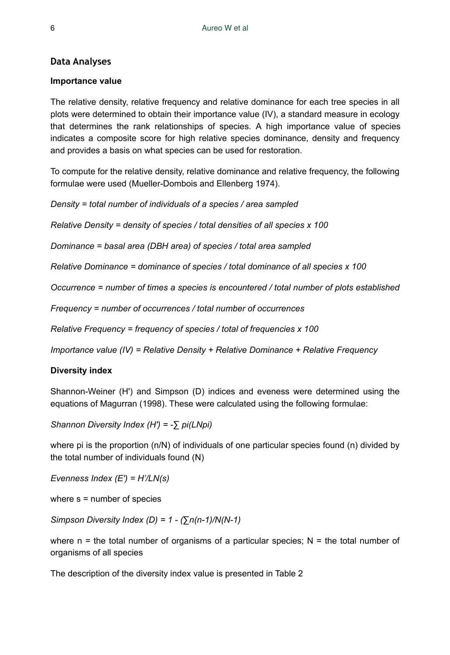### **Data Analyses**

#### **Importance value**

The relative density, relative frequency and relative dominance for each tree species in all plots were determined to obtain their importance value (IV), a standard measure in ecology that determines the rank relationships of species. A high importance value of species indicates a composite score for high relative species dominance, density and frequency and provides a basis on what species can be used for restoration.

To compute for the relative density, relative dominance and relative frequency, the following formulae were used (Mueller-Dombois and Ellenberg 1974).

*Density = total number of individuals of a species / area sampled*

*Relative Density = density of species / total densities of all species x 100*

*Dominance = basal area (DBH area) of species / total area sampled*

*Relative Dominance = dominance of species / total dominance of all species x 100*

*Occurrence = number of times a species is encountered / total number of plots established*

*Frequency = number of occurrences / total number of occurrences*

*Relative Frequency = frequency of species / total of frequencies x 100*

*Importance value (IV) = Relative Density + Relative Dominance + Relative Frequency*

#### **Diversity index**

Shannon-Weiner (H') and Simpson (D) indices and eveness were determined using the equations of Magurran (1998). These were calculated using the following formulae:

*Shannon Diversity Index (H') = -∑ pi(LNpi)*

where pi is the proportion (n/N) of individuals of one particular species found (n) divided by the total number of individuals found (N)

*Evenness Index (E') = H'/LN(s)*

where s = number of species

*Simpson Diversity Index (D) = 1 - (∑n(n-1)/N(N-1)*

where  $n =$  the total number of organisms of a particular species;  $N =$  the total number of organisms of all species

The description of the diversity index value is presented in Table 2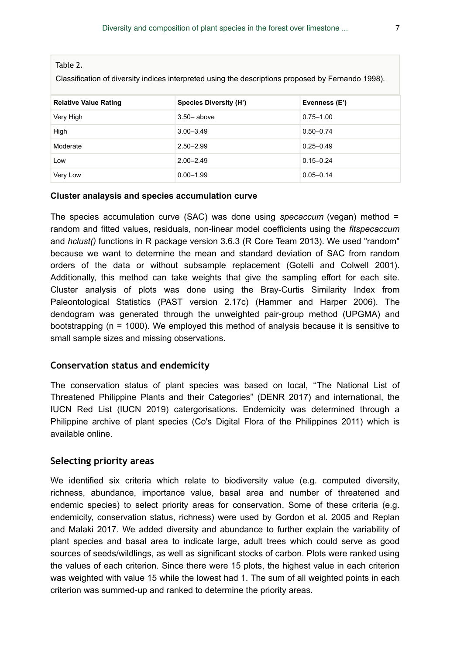Table 2.

Classification of diversity indices interpreted using the descriptions proposed by Fernando 1998).

| <b>Relative Value Rating</b> | <b>Species Diversity (H')</b> | Evenness (E') |
|------------------------------|-------------------------------|---------------|
| Very High                    | $3.50 - above$                | $0.75 - 1.00$ |
| High                         | $3.00 - 3.49$                 | $0.50 - 0.74$ |
| Moderate                     | $2.50 - 2.99$                 | $0.25 - 0.49$ |
| Low                          | $2.00 - 2.49$                 | $0.15 - 0.24$ |
| Very Low                     | $0.00 - 1.99$                 | $0.05 - 0.14$ |

#### **Cluster analaysis and species accumulation curve**

The species accumulation curve (SAC) was done using *specaccum* (vegan) method = random and fitted values, residuals, non-linear model coefficients using the *fitspecaccum* and *hclust()* functions in R package version 3.6.3 (R Core Team 2013). We used "random" because we want to determine the mean and standard deviation of SAC from random orders of the data or without subsample replacement (Gotelli and Colwell 2001). Additionally, this method can take weights that give the sampling effort for each site. Cluster analysis of plots was done using the Bray-Curtis Similarity Index from Paleontological Statistics (PAST version 2.17c) (Hammer and Harper 2006). The dendogram was generated through the unweighted pair-group method (UPGMA) and bootstrapping (n = 1000). We employed this method of analysis because it is sensitive to small sample sizes and missing observations.

#### **Conservation status and endemicity**

The conservation status of plant species was based on local, ''The National List of Threatened Philippine Plants and their Categories" (DENR 2017) and international, the IUCN Red List (IUCN 2019) catergorisations. Endemicity was determined through a Philippine archive of plant species (Co's Digital Flora of the Philippines 2011) which is available online.

### **Selecting priority areas**

We identified six criteria which relate to biodiversity value (e.g. computed diversity, richness, abundance, importance value, basal area and number of threatened and endemic species) to select priority areas for conservation. Some of these criteria (e.g. endemicity, conservation status, richness) were used by Gordon et al. 2005 and Replan and Malaki 2017. We added diversity and abundance to further explain the variability of plant species and basal area to indicate large, adult trees which could serve as good sources of seeds/wildlings, as well as significant stocks of carbon. Plots were ranked using the values of each criterion. Since there were 15 plots, the highest value in each criterion was weighted with value 15 while the lowest had 1. The sum of all weighted points in each criterion was summed-up and ranked to determine the priority areas.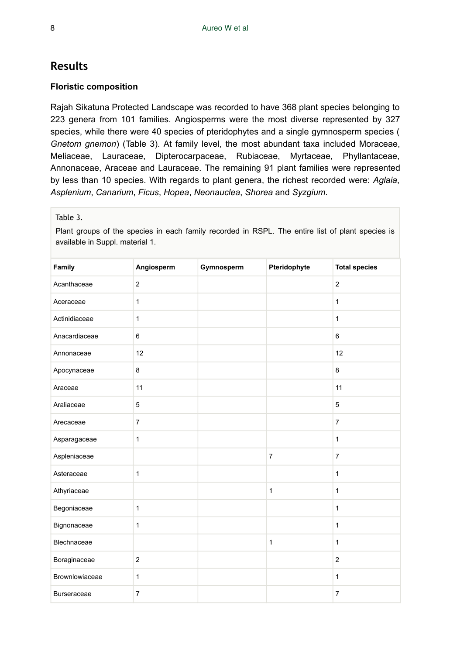# **Results**

### **Floristic composition**

Rajah Sikatuna Protected Landscape was recorded to have 368 plant species belonging to 223 genera from 101 families. Angiosperms were the most diverse represented by 327 species, while there were 40 species of pteridophytes and a single gymnosperm species ( *Gnetom gnemon*) (Table 3). At family level, the most abundant taxa included Moraceae, Meliaceae, Lauraceae, Dipterocarpaceae, Rubiaceae, Myrtaceae, Phyllantaceae, Annonaceae, Araceae and Lauraceae. The remaining 91 plant families were represented by less than 10 species. With regards to plant genera, the richest recorded were: *Aglaia*, *Asplenium*, *Canarium*, *Ficus*, *Hopea*, *Neonauclea*, *Shorea* and *Syzgium*.

### Table 3.

Plant groups of the species in each family recorded in RSPL. The entire list of plant species is available in Suppl. material 1.

| Family             | Angiosperm     | Gymnosperm | Pteridophyte   | <b>Total species</b> |
|--------------------|----------------|------------|----------------|----------------------|
| Acanthaceae        | $\overline{2}$ |            |                | $\overline{2}$       |
| Aceraceae          | $\mathbf{1}$   |            |                | $\mathbf{1}$         |
| Actinidiaceae      | 1              |            |                | $\mathbf{1}$         |
| Anacardiaceae      | 6              |            |                | 6                    |
| Annonaceae         | 12             |            |                | 12                   |
| Apocynaceae        | 8              |            |                | 8                    |
| Araceae            | 11             |            |                | 11                   |
| Araliaceae         | 5              |            |                | 5                    |
| Arecaceae          | $\overline{7}$ |            |                | $\overline{7}$       |
| Asparagaceae       | $\mathbf{1}$   |            |                | $\mathbf{1}$         |
| Aspleniaceae       |                |            | $\overline{7}$ | $\overline{7}$       |
| Asteraceae         | $\mathbf{1}$   |            |                | $\mathbf{1}$         |
| Athyriaceae        |                |            | $\mathbf{1}$   | $\mathbf{1}$         |
| Begoniaceae        | $\mathbf{1}$   |            |                | $\mathbf{1}$         |
| Bignonaceae        | $\mathbf{1}$   |            |                | $\mathbf{1}$         |
| Blechnaceae        |                |            | $\mathbf{1}$   | $\mathbf{1}$         |
| Boraginaceae       | $\overline{2}$ |            |                | $\overline{2}$       |
| Brownlowiaceae     | $\mathbf{1}$   |            |                | $\mathbf{1}$         |
| <b>Burseraceae</b> | $\overline{7}$ |            |                | $\overline{7}$       |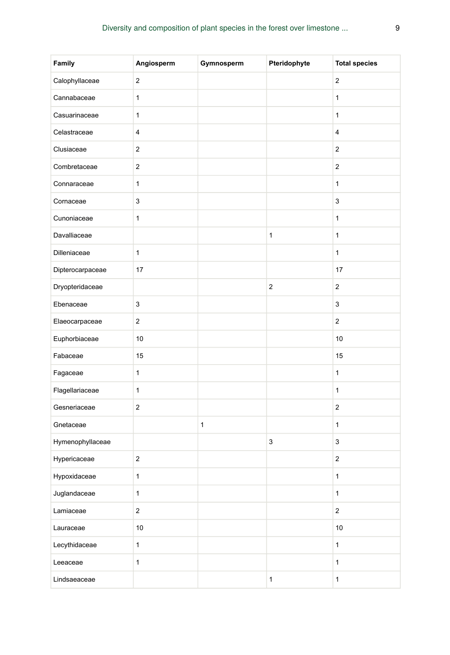| Family           | Angiosperm       | Gymnosperm  | Pteridophyte   | <b>Total species</b>    |
|------------------|------------------|-------------|----------------|-------------------------|
| Calophyllaceae   | $\overline{c}$   |             |                | $\overline{c}$          |
| Cannabaceae      | $\mathbf{1}$     |             |                | $\mathbf{1}$            |
| Casuarinaceae    | 1                |             |                | $\mathbf{1}$            |
| Celastraceae     | 4                |             |                | $\overline{\mathbf{4}}$ |
| Clusiaceae       | 2                |             |                | $\overline{c}$          |
| Combretaceae     | $\mathbf 2$      |             |                | $\overline{c}$          |
| Connaraceae      | 1                |             |                | $\mathbf{1}$            |
| Cornaceae        | $\mathsf 3$      |             |                | 3                       |
| Cunoniaceae      | $\mathbf{1}$     |             |                | $\mathbf{1}$            |
| Davalliaceae     |                  |             | $\mathbf{1}$   | $\mathbf{1}$            |
| Dilleniaceae     | $\mathbf{1}$     |             |                | $\mathbf{1}$            |
| Dipterocarpaceae | 17               |             |                | 17                      |
| Dryopteridaceae  |                  |             | $\overline{c}$ | $\overline{c}$          |
| Ebenaceae        | $\mathsf 3$      |             |                | 3                       |
| Elaeocarpaceae   | $\boldsymbol{2}$ |             |                | $\overline{c}$          |
| Euphorbiaceae    | 10               |             |                | $10$                    |
| Fabaceae         | 15               |             |                | 15                      |
| Fagaceae         | $\mathbf{1}$     |             |                | $\mathbf{1}$            |
| Flagellariaceae  | $\mathbf{1}$     |             |                | $\mathbf{1}$            |
| Gesneriaceae     | $\overline{c}$   |             |                | $\overline{c}$          |
| Gnetaceae        |                  | $\mathbf 1$ |                | $\mathbf{1}$            |
| Hymenophyllaceae |                  |             | 3              | 3                       |
| Hypericaceae     | $\boldsymbol{2}$ |             |                | $\mathbf 2$             |
| Hypoxidaceae     | $\mathbf 1$      |             |                | 1                       |
| Juglandaceae     | 1                |             |                | $\mathbf{1}$            |
| Lamiaceae        | $\mathbf 2$      |             |                | $\overline{c}$          |
| Lauraceae        | $10$             |             |                | $10$                    |
| Lecythidaceae    | $\mathbf{1}$     |             |                | $\mathbf{1}$            |
| Leeaceae         | $\mathbf{1}$     |             |                | 1                       |
| Lindsaeaceae     |                  |             | $\mathbf{1}$   | $\mathbf{1}$            |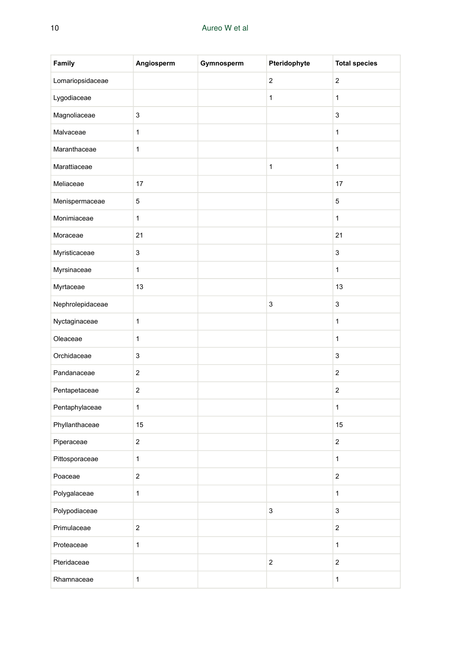| Family           | Angiosperm       | Gymnosperm | Pteridophyte            | <b>Total species</b>    |
|------------------|------------------|------------|-------------------------|-------------------------|
| Lomariopsidaceae |                  |            | $\boldsymbol{2}$        | $\boldsymbol{2}$        |
| Lygodiaceae      |                  |            | $\mathbf{1}$            | $\mathbf{1}$            |
| Magnoliaceae     | 3                |            |                         | 3                       |
| Malvaceae        | $\mathbf{1}$     |            |                         | $\mathbf{1}$            |
| Maranthaceae     | $\mathbf 1$      |            |                         | $\mathbf{1}$            |
| Marattiaceae     |                  |            | $\mathbf{1}$            | $\mathbf{1}$            |
| Meliaceae        | 17               |            |                         | 17                      |
| Menispermaceae   | 5                |            |                         | 5                       |
| Monimiaceae      | 1                |            |                         | $\mathbf{1}$            |
| Moraceae         | 21               |            |                         | 21                      |
| Myristicaceae    | 3                |            |                         | 3                       |
| Myrsinaceae      | 1                |            |                         | $\mathbf{1}$            |
| Myrtaceae        | 13               |            |                         | 13                      |
| Nephrolepidaceae |                  |            | 3                       | 3                       |
| Nyctaginaceae    | $\mathbf{1}$     |            |                         | $\mathbf{1}$            |
| Oleaceae         | 1                |            |                         | $\mathbf{1}$            |
| Orchidaceae      | 3                |            |                         | 3                       |
| Pandanaceae      | 2                |            |                         | 2                       |
| Pentapetaceae    | 2                |            |                         | $\overline{\mathbf{c}}$ |
| Pentaphylaceae   | $\mathbf{1}$     |            |                         | $\mathbf{1}$            |
| Phyllanthaceae   | 15               |            |                         | 15                      |
| Piperaceae       | $\boldsymbol{2}$ |            |                         | $\overline{c}$          |
| Pittosporaceae   | 1                |            |                         | $\mathbf{1}$            |
| Poaceae          | $\boldsymbol{2}$ |            |                         | $\boldsymbol{2}$        |
| Polygalaceae     | $\mathbf{1}$     |            |                         | $\mathbf{1}$            |
| Polypodiaceae    |                  |            | 3                       | 3                       |
| Primulaceae      | $\overline{2}$   |            |                         | $\overline{\mathbf{c}}$ |
| Proteaceae       | $\mathbf{1}$     |            |                         | $\mathbf{1}$            |
| Pteridaceae      |                  |            | $\overline{\mathbf{c}}$ | $\overline{\mathbf{c}}$ |
| Rhamnaceae       | $\mathbf 1$      |            |                         | $\mathbf{1}$            |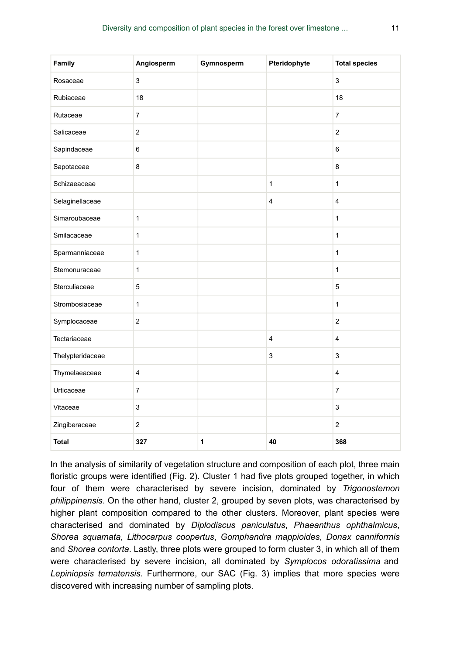| Family           | Angiosperm                | Gymnosperm   | Pteridophyte            | <b>Total species</b>    |
|------------------|---------------------------|--------------|-------------------------|-------------------------|
| Rosaceae         | $\ensuremath{\mathsf{3}}$ |              |                         | $\mathsf 3$             |
| Rubiaceae        | 18                        |              |                         | 18                      |
| Rutaceae         | $\overline{7}$            |              |                         | $\overline{7}$          |
| Salicaceae       | $\overline{2}$            |              |                         | $\overline{2}$          |
| Sapindaceae      | 6                         |              |                         | 6                       |
| Sapotaceae       | 8                         |              |                         | 8                       |
| Schizaeaceae     |                           |              | $\mathbf{1}$            | $\mathbf{1}$            |
| Selaginellaceae  |                           |              | 4                       | $\overline{4}$          |
| Simaroubaceae    | $\mathbf{1}$              |              |                         | 1                       |
| Smilacaceae      | 1                         |              |                         | $\mathbf{1}$            |
| Sparmanniaceae   | $\mathbf{1}$              |              |                         | $\mathbf{1}$            |
| Stemonuraceae    | 1                         |              |                         | 1                       |
| Sterculiaceae    | 5                         |              |                         | 5                       |
| Strombosiaceae   | $\mathbf{1}$              |              |                         | $\mathbf{1}$            |
| Symplocaceae     | $\overline{2}$            |              |                         | $\overline{2}$          |
| Tectariaceae     |                           |              | $\overline{\mathbf{4}}$ | $\overline{\mathbf{4}}$ |
| Thelypteridaceae |                           |              | 3                       | 3                       |
| Thymelaeaceae    | $\overline{\mathbf{4}}$   |              |                         | $\overline{\mathbf{4}}$ |
| Urticaceae       | $\overline{7}$            |              |                         | $\overline{7}$          |
| Vitaceae         | 3                         |              |                         | 3                       |
| Zingiberaceae    | $\mathbf 2$               |              |                         | $\overline{2}$          |
| <b>Total</b>     | 327                       | $\mathbf{1}$ | 40                      | 368                     |

In the analysis of similarity of vegetation structure and composition of each plot, three main floristic groups were identified (Fig. 2). Cluster 1 had five plots grouped together, in which four of them were characterised by severe incision, dominated by *Trigonostemon philippinensis*. On the other hand, cluster 2, grouped by seven plots, was characterised by higher plant composition compared to the other clusters. Moreover, plant species were characterised and dominated by *Diplodiscus paniculatus*, *Phaeanthus ophthalmicus*, *Shorea squamata*, *Lithocarpus coopertus*, *Gomphandra mappioides*, *Donax canniformis* and *Shorea contorta*. Lastly, three plots were grouped to form cluster 3, in which all of them were characterised by severe incision, all dominated by *Symplocos odoratissima* and *Lepiniopsis ternatensis*. Furthermore, our SAC (Fig. 3) implies that more species were discovered with increasing number of sampling plots.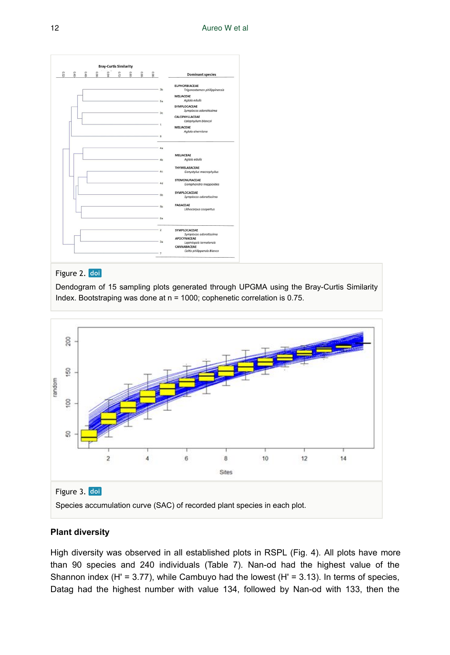|       |     |     |              | <b>Bray-Curtis Similarity</b> |      |     |      |                |                                               |
|-------|-----|-----|--------------|-------------------------------|------|-----|------|----------------|-----------------------------------------------|
| $0*0$ | 810 | 880 | $\circ$<br>ē | e.r2                          | 08.0 | 880 | 9610 |                | <b>Dominant species</b>                       |
|       |     |     |              |                               |      |     |      |                | <b>EUPHORBIACEAE</b>                          |
|       |     |     |              |                               |      |     |      | 3 <sub>b</sub> | Trigonostemon philippinensis                  |
|       |     |     |              |                               |      |     |      |                | MELIACEAE<br>Aglaia edulis                    |
|       |     |     |              |                               |      |     |      | 5a             | SYMPLOCACEAE                                  |
|       |     |     |              |                               |      |     |      |                | Symplocos odoratissima                        |
|       |     |     |              |                               |      |     |      | 3c             | CALOPHY LLACEAE                               |
|       |     |     |              |                               |      |     |      | $\overline{1}$ | Calophyllum blancoi                           |
|       |     |     |              |                               |      |     |      |                | MELIACEAE<br>Aglaia aherniana                 |
|       |     |     |              |                               |      |     |      | 8              |                                               |
|       |     |     |              |                               |      |     |      | 4a             |                                               |
|       |     |     |              |                               |      |     |      |                | MELIACEAE                                     |
|       |     |     |              |                               |      |     |      | 4 <sub>b</sub> | Aglaia edulis                                 |
|       |     |     |              |                               |      |     |      |                | THYMELAEACEAE                                 |
|       |     |     |              |                               |      |     |      | 4 <sub>c</sub> | Gonystylus macrophyllus                       |
|       |     |     |              |                               |      |     |      |                | STEMONURACEAE                                 |
|       |     |     |              |                               |      |     |      | 4d             | Gomphandra mappioides                         |
|       |     |     |              |                               |      |     |      | 66             | SYMPLOCACEAE                                  |
|       |     |     |              |                               |      |     |      |                | Symplocos odoratissima                        |
|       |     |     |              |                               |      |     |      | 56             | <b>FAGACEAE</b>                               |
|       |     |     |              |                               |      |     |      |                | Lithocarpus coopertus                         |
|       |     |     |              |                               |      |     |      | 6a             |                                               |
|       |     |     |              |                               |      |     |      | $-2$           | SYMPLOCACEAE                                  |
|       |     |     |              |                               |      |     |      |                | Symplocos odoratissima                        |
|       |     |     |              |                               |      |     |      | 3a             | <b>APOCYNACEAE</b><br>Lepiniopsis ternatensis |
|       |     |     |              |                               |      |     |      |                | CANNABACEAE                                   |
|       |     |     |              |                               |      |     |      | $\tau$         | Celtis philippensis Blanco                    |

#### Figure 2. doi

Dendogram of 15 sampling plots generated through UPGMA using the Bray-Curtis Similarity Index. Bootstraping was done at n = 1000; cophenetic correlation is 0.75.



### **Plant diversity**

High diversity was observed in all established plots in RSPL (Fig. 4). All plots have more than 90 species and 240 individuals (Table 7). Nan-od had the highest value of the Shannon index (H' = 3.77), while Cambuyo had the lowest (H' = 3.13). In terms of species, Datag had the highest number with value 134, followed by Nan-od with 133, then the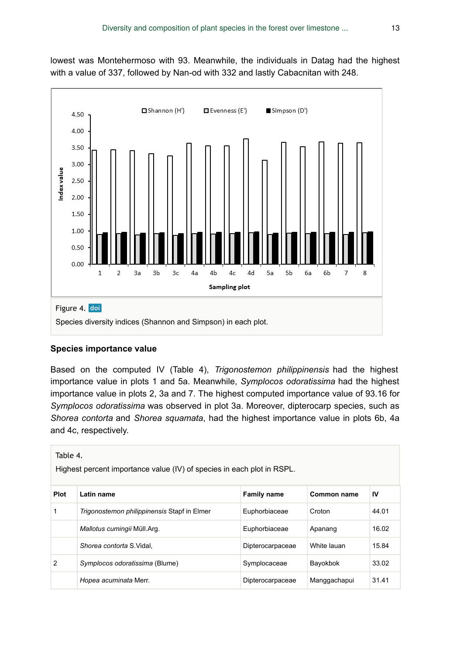lowest was Montehermoso with 93. Meanwhile, the individuals in Datag had the highest with a value of 337, followed by Nan-od with 332 and lastly Cabacnitan with 248.



#### **Species importance value**

Based on the computed IV (Table 4), *Trigonostemon philippinensis* had the highest importance value in plots 1 and 5a. Meanwhile, *Symplocos odoratissima* had the highest importance value in plots 2, 3a and 7. The highest computed importance value of 93.16 for *Symplocos odoratissima* was observed in plot 3a. Moreover, dipterocarp species, such as *Shorea contorta* and *Shorea squamata*, had the highest importance value in plots 6b, 4a and 4c, respectively.

| Table 4.<br>Highest percent importance value (IV) of species in each plot in RSPL. |                                             |                    |              |       |  |  |  |  |  |  |
|------------------------------------------------------------------------------------|---------------------------------------------|--------------------|--------------|-------|--|--|--|--|--|--|
| <b>Plot</b>                                                                        | Latin name                                  | <b>Family name</b> | Common name  | IV    |  |  |  |  |  |  |
| 1                                                                                  | Trigonostemon philippinensis Stapf in Elmer | Euphorbiaceae      | Croton       | 44.01 |  |  |  |  |  |  |
|                                                                                    | Mallotus cumingii Müll.Arg.                 | Euphorbiaceae      | Apanang      | 16.02 |  |  |  |  |  |  |
|                                                                                    | Shorea contorta S. Vidal.                   | Dipterocarpaceae   | White lauan  | 15.84 |  |  |  |  |  |  |
| $\overline{2}$                                                                     | Symplocos odoratissima (Blume)              | Symplocaceae       | Bayokbok     | 33.02 |  |  |  |  |  |  |
|                                                                                    | Hopea acuminata Merr.                       | Dipterocarpaceae   | Manggachapui | 31.41 |  |  |  |  |  |  |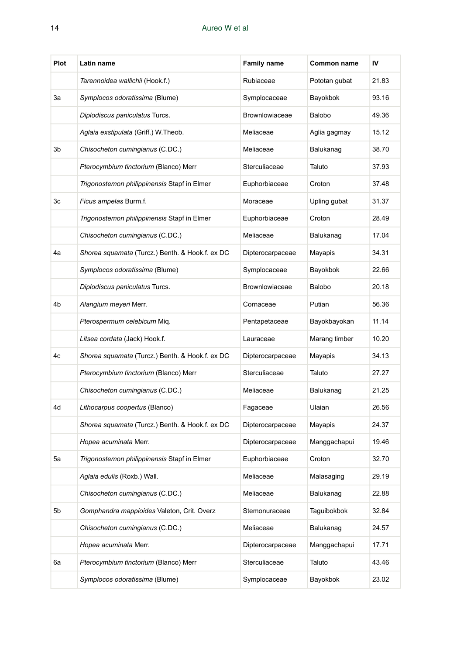| <b>Plot</b> | Latin name                                      | <b>Family name</b> | Common name   | IV    |
|-------------|-------------------------------------------------|--------------------|---------------|-------|
|             | Tarennoidea wallichii (Hook.f.)                 | Rubiaceae          | Pototan gubat | 21.83 |
| За          | Symplocos odoratissima (Blume)                  | Symplocaceae       | Bayokbok      | 93.16 |
|             | Diplodiscus paniculatus Turcs.                  | Brownlowiaceae     | Balobo        | 49.36 |
|             | Aglaia exstipulata (Griff.) W.Theob.            | Meliaceae          | Aglia gagmay  | 15.12 |
| 3b          | Chisocheton cumingianus (C.DC.)                 | Meliaceae          | Balukanag     | 38.70 |
|             | Pterocymbium tinctorium (Blanco) Merr           | Sterculiaceae      | Taluto        | 37.93 |
|             | Trigonostemon philippinensis Stapf in Elmer     | Euphorbiaceae      | Croton        | 37.48 |
| 3c          | Ficus ampelas Burm.f.                           | Moraceae           | Upling gubat  | 31.37 |
|             | Trigonostemon philippinensis Stapf in Elmer     | Euphorbiaceae      | Croton        | 28.49 |
|             | Chisocheton cumingianus (C.DC.)                 | Meliaceae          | Balukanag     | 17.04 |
| 4a          | Shorea squamata (Turcz.) Benth. & Hook.f. ex DC | Dipterocarpaceae   | Mayapis       | 34.31 |
|             | Symplocos odoratissima (Blume)                  | Symplocaceae       | Bayokbok      | 22.66 |
|             | Diplodiscus paniculatus Turcs.                  | Brownlowiaceae     | Balobo        | 20.18 |
| 4b          | Alangium meyeri Merr.                           | Cornaceae          | Putian        | 56.36 |
|             | Pterospermum celebicum Miq.                     | Pentapetaceae      | Bayokbayokan  | 11.14 |
|             | Litsea cordata (Jack) Hook.f.                   | Lauraceae          | Marang timber | 10.20 |
| 4c          | Shorea squamata (Turcz.) Benth. & Hook.f. ex DC | Dipterocarpaceae   | Mayapis       | 34.13 |
|             | Pterocymbium tinctorium (Blanco) Merr           | Sterculiaceae      | Taluto        | 27.27 |
|             | Chisocheton cumingianus (C.DC.)                 | Meliaceae          | Balukanag     | 21.25 |
| 4d          | Lithocarpus coopertus (Blanco)                  | Fagaceae           | Ulaian        | 26.56 |
|             | Shorea squamata (Turcz.) Benth. & Hook.f. ex DC | Dipterocarpaceae   | Mayapis       | 24.37 |
|             | Hopea acuminata Merr.                           | Dipterocarpaceae   | Manggachapui  | 19.46 |
| 5a          | Trigonostemon philippinensis Stapf in Elmer     | Euphorbiaceae      | Croton        | 32.70 |
|             | Aglaia edulis (Roxb.) Wall.                     | Meliaceae          | Malasaging    | 29.19 |
|             | Chisocheton cumingianus (C.DC.)                 | Meliaceae          | Balukanag     | 22.88 |
| 5b          | Gomphandra mappioides Valeton, Crit. Overz      | Stemonuraceae      | Taguibokbok   | 32.84 |
|             | Chisocheton cumingianus (C.DC.)                 | Meliaceae          | Balukanag     | 24.57 |
|             | Hopea acuminata Merr.                           | Dipterocarpaceae   | Manggachapui  | 17.71 |
| 6a          | Pterocymbium tinctorium (Blanco) Merr           | Sterculiaceae      | Taluto        | 43.46 |
|             | Symplocos odoratissima (Blume)                  | Symplocaceae       | Bayokbok      | 23.02 |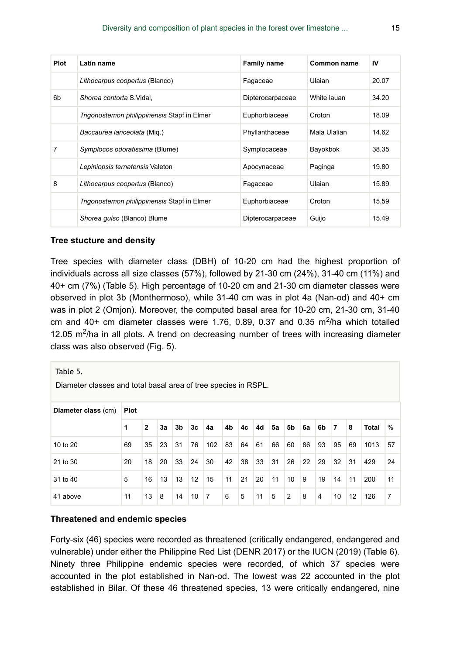| <b>Plot</b> | Latin name                                  | <b>Family name</b> | Common name  | IV    |
|-------------|---------------------------------------------|--------------------|--------------|-------|
|             | Lithocarpus coopertus (Blanco)              | Fagaceae           | Ulaian       | 20.07 |
| 6b          | Shorea contorta S. Vidal,                   | Dipterocarpaceae   | White lauan  | 34.20 |
|             | Trigonostemon philippinensis Stapf in Elmer | Euphorbiaceae      | Croton       | 18.09 |
|             | Baccaurea lanceolata (Mig.)                 | Phyllanthaceae     | Mala Ulalian | 14.62 |
| 7           | Symplocos odoratissima (Blume)              | Symplocaceae       | Bayokbok     | 38.35 |
|             | Lepiniopsis ternatensis Valeton             | Apocynaceae        | Paginga      | 19.80 |
| 8           | Lithocarpus coopertus (Blanco)              | Fagaceae           | Ulaian       | 15.89 |
|             | Trigonostemon philippinensis Stapf in Elmer | Euphorbiaceae      | Croton       | 15.59 |
|             | Shorea guiso (Blanco) Blume                 | Dipterocarpaceae   | Guijo        | 15.49 |

#### **Tree stucture and density**

Tree species with diameter class (DBH) of 10-20 cm had the highest proportion of individuals across all size classes (57%), followed by 21-30 cm (24%), 31-40 cm (11%) and 40+ cm (7%) (Table 5). High percentage of 10-20 cm and 21-30 cm diameter classes were observed in plot 3b (Monthermoso), while 31-40 cm was in plot 4a (Nan-od) and 40+ cm was in plot 2 (Omjon). Moreover, the computed basal area for 10-20 cm, 21-30 cm, 31-40 cm and  $40+$  cm diameter classes were 1.76, 0.89, 0.37 and 0.35 m<sup>2</sup>/ha which totalled 12.05  $\text{m}^2$ /ha in all plots. A trend on decreasing number of trees with increasing diameter class was also observed (Fig. 5).

| Table 5.<br>Diameter classes and total basal area of tree species in RSPL. |             |              |    |                |    |                |    |    |    |    |    |    |    |                |    |                   |    |
|----------------------------------------------------------------------------|-------------|--------------|----|----------------|----|----------------|----|----|----|----|----|----|----|----------------|----|-------------------|----|
| Diameter class (cm)                                                        | <b>Plot</b> |              |    |                |    |                |    |    |    |    |    |    |    |                |    |                   |    |
|                                                                            | 1           | $\mathbf{2}$ | 3a | 3 <sub>b</sub> | 3c | 4a             | 4b | 4c | 4d | 5a | 5b | 6a | 6b | $\overline{7}$ | 8  | %<br><b>Total</b> |    |
| 10 to 20                                                                   | 69          | 35           | 23 | 31             | 76 | 102            | 83 | 64 | 61 | 66 | 60 | 86 | 93 | 95             | 69 | 1013              | 57 |
| 21 to 30                                                                   | 20          | 18           | 20 | 33             | 24 | 30             | 42 | 38 | 33 | 31 | 26 | 22 | 29 | 32             | 31 | 429               | 24 |
| 31 to 40                                                                   | 5           | 16           | 13 | 13             | 12 | 15             | 11 | 21 | 20 | 11 | 10 | 9  | 19 | 14             | 11 | 200               | 11 |
| 41 above                                                                   | 11          | 13           | 8  | 14             | 10 | $\overline{7}$ | 6  | 5  | 11 | 5  | 2  | 8  | 4  | 10             | 12 | 126               | 7  |

#### **Threatened and endemic species**

Forty-six (46) species were recorded as threatened (critically endangered, endangered and vulnerable) under either the Philippine Red List (DENR 2017) or the IUCN (2019) (Table 6). Ninety three Philippine endemic species were recorded, of which 37 species were accounted in the plot established in Nan-od. The lowest was 22 accounted in the plot established in Bilar. Of these 46 threatened species, 13 were critically endangered, nine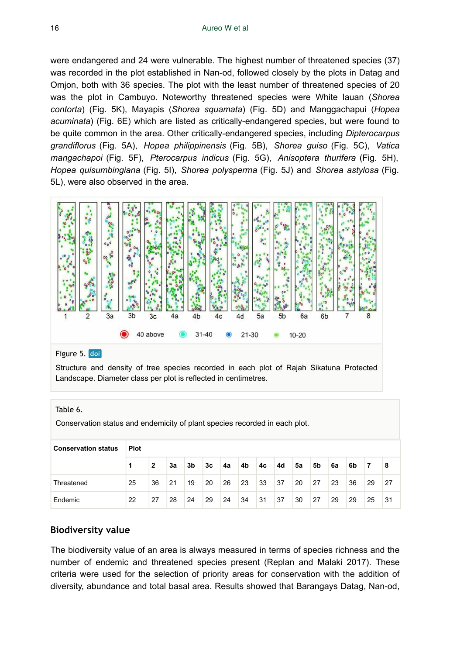were endangered and 24 were vulnerable. The highest number of threatened species (37) was recorded in the plot established in Nan-od, followed closely by the plots in Datag and Omjon, both with 36 species. The plot with the least number of threatened species of 20 was the plot in Cambuyo. Noteworthy threatened species were White lauan (*Shorea contorta*) (Fig. 5K), Mayapis (*Shorea squamata*) (Fig. 5D) and Manggachapui (*Hopea acuminata*) (Fig. 6E) which are listed as critically-endangered species, but were found to be quite common in the area. Other critically-endangered species, including *Dipterocarpus grandiflorus* (Fig. 5A), *Hopea philippinensis* (Fig. 5B), *Shorea guiso* (Fig. 5C), *Vatica mangachapoi* (Fig. 5F), *Pterocarpus indicus* (Fig. 5G), *Anisoptera thurifera* (Fig. 5H), *Hopea quisumbingiana* (Fig. 5I), *Shorea polysperma* (Fig. 5J) and *Shorea astylosa* (Fig. 5L), were also observed in the area.



#### Figure 5. doi

Structure and density of tree species recorded in each plot of Rajah Sikatuna Protected Landscape. Diameter class per plot is reflected in centimetres.

Table 6.

Conservation status and endemicity of plant species recorded in each plot.

| <b>Conservation status</b> | Plot |    |    |    |    |    |    |    |    |    |    |    |    |                |    |
|----------------------------|------|----|----|----|----|----|----|----|----|----|----|----|----|----------------|----|
|                            |      | 2  | За | 3b | 3c | 4a | 4b | 4c | 4d | 5a | 5b | 6a | 6b | $\overline{7}$ | 8  |
| Threatened                 | 25   | 36 | 21 | 19 | 20 | 26 | 23 | 33 | 37 | 20 | 27 | 23 | 36 | 29             | 27 |
| Endemic                    | 22   | 27 | 28 | 24 | 29 | 24 | 34 | 31 | 37 | 30 | 27 | 29 | 29 | 25             | 31 |

#### **Biodiversity value**

The biodiversity value of an area is always measured in terms of species richness and the number of endemic and threatened species present (Replan and Malaki 2017). These criteria were used for the selection of priority areas for conservation with the addition of diversity, abundance and total basal area. Results showed that Barangays Datag, Nan-od,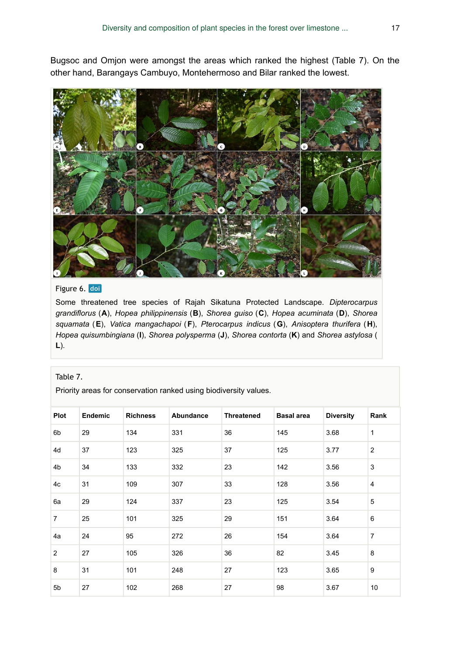Bugsoc and Omjon were amongst the areas which ranked the highest (Table 7). On the other hand, Barangays Cambuyo, Montehermoso and Bilar ranked the lowest.



# Figure 6. doi

Some threatened tree species of Rajah Sikatuna Protected Landscape. *Dipterocarpus grandiflorus* (**A**), *Hopea philippinensis* (**B**), *Shorea guiso* (**C**), *Hopea acuminata* (**D**), *Shorea squamata* (**E**), *Vatica mangachapoi* (**F**), *Pterocarpus indicus* (**G**), *Anisoptera thurifera* (**H**), *Hopea quisumbingiana* (**I**), *Shorea polysperma* (**J**), *Shorea contorta* (**K**) and *Shorea astylosa* ( **L**).

#### Table 7.

Priority areas for conservation ranked using biodiversity values.

| <b>Plot</b>    | Endemic | <b>Richness</b> | Abundance | <b>Threatened</b> | <b>Basal area</b> | <b>Diversity</b> | Rank           |
|----------------|---------|-----------------|-----------|-------------------|-------------------|------------------|----------------|
| 6b             | 29      | 134             | 331       | 36                | 145               | 3.68             | $\mathbf{1}$   |
| 4d             | 37      | 123             | 325       | 37                | 125               | 3.77             | $\overline{2}$ |
| 4 <sub>b</sub> | 34      | 133             | 332       | 23                | 142               | 3.56             | 3              |
| 4c             | 31      | 109             | 307       | 33                | 128               | 3.56             | $\overline{4}$ |
| 6a             | 29      | 124             | 337       | 23                | 125               | 3.54             | 5              |
| $\overline{7}$ | 25      | 101             | 325       | 29                | 151               | 3.64             | 6              |
| 4a             | 24      | 95              | 272       | 26                | 154               | 3.64             | $\overline{7}$ |
| $\overline{2}$ | 27      | 105             | 326       | 36                | 82                | 3.45             | 8              |
| 8              | 31      | 101             | 248       | 27                | 123               | 3.65             | 9              |
| 5 <sub>b</sub> | 27      | 102             | 268       | 27                | 98                | 3.67             | 10             |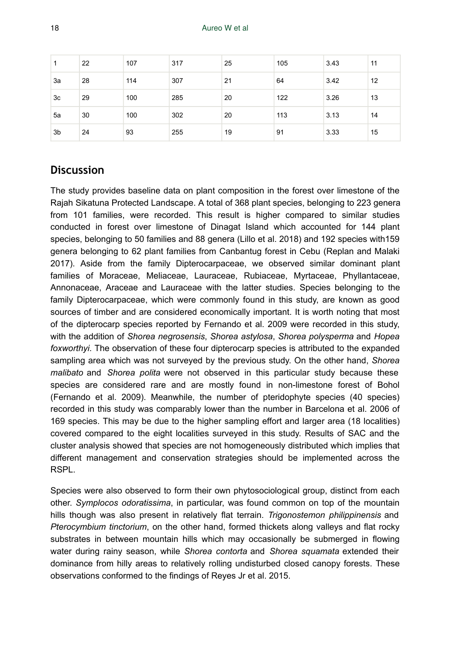| 1              | 22 | 107 | 317 | 25 | 105 | 3.43 | 11 |
|----------------|----|-----|-----|----|-----|------|----|
| 3a             | 28 | 114 | 307 | 21 | 64  | 3.42 | 12 |
| 3c             | 29 | 100 | 285 | 20 | 122 | 3.26 | 13 |
| 5a             | 30 | 100 | 302 | 20 | 113 | 3.13 | 14 |
| 3 <sub>b</sub> | 24 | 93  | 255 | 19 | 91  | 3.33 | 15 |

# **Discussion**

The study provides baseline data on plant composition in the forest over limestone of the Rajah Sikatuna Protected Landscape. A total of 368 plant species, belonging to 223 genera from 101 families, were recorded. This result is higher compared to similar studies conducted in forest over limestone of Dinagat Island which accounted for 144 plant species, belonging to 50 families and 88 genera (Lillo et al. 2018) and 192 species with159 genera belonging to 62 plant families from Canbantug forest in Cebu (Replan and Malaki 2017). Aside from the family Dipterocarpaceae, we observed similar dominant plant families of Moraceae, Meliaceae, Lauraceae, Rubiaceae, Myrtaceae, Phyllantaceae, Annonaceae, Araceae and Lauraceae with the latter studies. Species belonging to the family Dipterocarpaceae, which were commonly found in this study, are known as good sources of timber and are considered economically important. It is worth noting that most of the dipterocarp species reported by Fernando et al. 2009 were recorded in this study, with the addition of *Shorea negrosensis*, *Shorea astylosa*, *Shorea polysperma* and *Hopea foxworthyi*. The observation of these four dipterocarp species is attributed to the expanded sampling area which was not surveyed by the previous study. On the other hand, *Shorea malibato* and *Shorea polita* were not observed in this particular study because these species are considered rare and are mostly found in non-limestone forest of Bohol (Fernando et al. 2009). Meanwhile, the number of pteridophyte species (40 species) recorded in this study was comparably lower than the number in Barcelona et al. 2006 of 169 species. This may be due to the higher sampling effort and larger area (18 localities) covered compared to the eight localities surveyed in this study. Results of SAC and the cluster analysis showed that species are not homogeneously distributed which implies that different management and conservation strategies should be implemented across the RSPL.

Species were also observed to form their own phytosociological group, distinct from each other. *Symplocos odoratissima*, in particular, was found common on top of the mountain hills though was also present in relatively flat terrain. *Trigonostemon philippinensis* and *Pterocymbium tinctorium*, on the other hand, formed thickets along valleys and flat rocky substrates in between mountain hills which may occasionally be submerged in flowing water during rainy season, while *Shorea contorta* and *Shorea squamata* extended their dominance from hilly areas to relatively rolling undisturbed closed canopy forests. These observations conformed to the findings of Reyes Jr et al. 2015.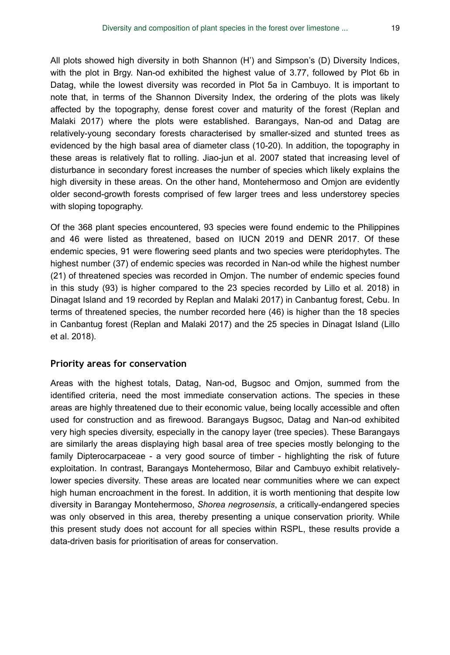All plots showed high diversity in both Shannon (H') and Simpson's (D) Diversity Indices, with the plot in Brgy. Nan-od exhibited the highest value of 3.77, followed by Plot 6b in Datag, while the lowest diversity was recorded in Plot 5a in Cambuyo. It is important to note that, in terms of the Shannon Diversity Index, the ordering of the plots was likely affected by the topography, dense forest cover and maturity of the forest (Replan and Malaki 2017) where the plots were established. Barangays, Nan-od and Datag are relatively-young secondary forests characterised by smaller-sized and stunted trees as evidenced by the high basal area of diameter class (10-20). In addition, the topography in these areas is relatively flat to rolling. Jiao-jun et al. 2007 stated that increasing level of disturbance in secondary forest increases the number of species which likely explains the high diversity in these areas. On the other hand, Montehermoso and Omjon are evidently older second-growth forests comprised of few larger trees and less understorey species with sloping topography.

Of the 368 plant species encountered, 93 species were found endemic to the Philippines and 46 were listed as threatened, based on IUCN 2019 and DENR 2017. Of these endemic species, 91 were flowering seed plants and two species were pteridophytes. The highest number (37) of endemic species was recorded in Nan-od while the highest number (21) of threatened species was recorded in Omjon. The number of endemic species found in this study (93) is higher compared to the 23 species recorded by Lillo et al. 2018) in Dinagat Island and 19 recorded by Replan and Malaki 2017) in Canbantug forest, Cebu. In terms of threatened species, the number recorded here (46) is higher than the 18 species in Canbantug forest (Replan and Malaki 2017) and the 25 species in Dinagat Island (Lillo et al. 2018).

#### **Priority areas for conservation**

Areas with the highest totals, Datag, Nan-od, Bugsoc and Omjon, summed from the identified criteria, need the most immediate conservation actions. The species in these areas are highly threatened due to their economic value, being locally accessible and often used for construction and as firewood. Barangays Bugsoc, Datag and Nan-od exhibited very high species diversity, especially in the canopy layer (tree species). These Barangays are similarly the areas displaying high basal area of tree species mostly belonging to the family Dipterocarpaceae - a very good source of timber - highlighting the risk of future exploitation. In contrast, Barangays Montehermoso, Bilar and Cambuyo exhibit relativelylower species diversity. These areas are located near communities where we can expect high human encroachment in the forest. In addition, it is worth mentioning that despite low diversity in Barangay Montehermoso, *Shorea negrosensis*, a critically-endangered species was only observed in this area, thereby presenting a unique conservation priority. While this present study does not account for all species within RSPL, these results provide a data-driven basis for prioritisation of areas for conservation.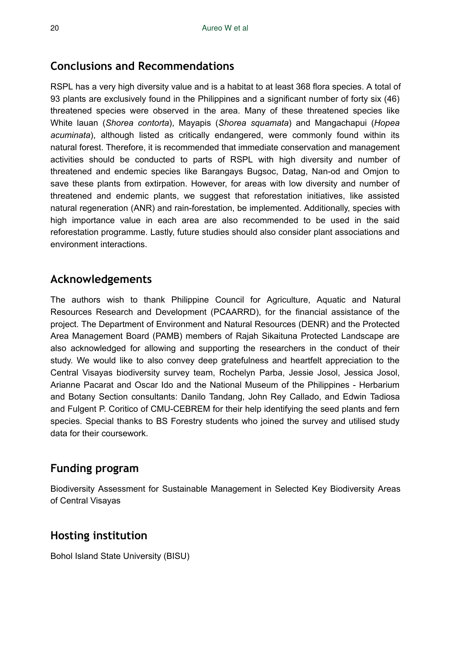# **Conclusions and Recommendations**

RSPL has a very high diversity value and is a habitat to at least 368 flora species. A total of 93 plants are exclusively found in the Philippines and a significant number of forty six (46) threatened species were observed in the area. Many of these threatened species like White lauan (*Shorea contorta*), Mayapis (*Shorea squamata*) and Mangachapui (*Hopea acuminata*), although listed as critically endangered, were commonly found within its natural forest. Therefore, it is recommended that immediate conservation and management activities should be conducted to parts of RSPL with high diversity and number of threatened and endemic species like Barangays Bugsoc, Datag, Nan-od and Omjon to save these plants from extirpation. However, for areas with low diversity and number of threatened and endemic plants, we suggest that reforestation initiatives, like assisted natural regeneration (ANR) and rain-forestation, be implemented. Additionally, species with high importance value in each area are also recommended to be used in the said reforestation programme. Lastly, future studies should also consider plant associations and environment interactions.

# **Acknowledgements**

The authors wish to thank Philippine Council for Agriculture, Aquatic and Natural Resources Research and Development (PCAARRD), for the financial assistance of the project. The Department of Environment and Natural Resources (DENR) and the Protected Area Management Board (PAMB) members of Rajah Sikaituna Protected Landscape are also acknowledged for allowing and supporting the researchers in the conduct of their study. We would like to also convey deep gratefulness and heartfelt appreciation to the Central Visayas biodiversity survey team, Rochelyn Parba, Jessie Josol, Jessica Josol, Arianne Pacarat and Oscar Ido and the National Museum of the Philippines - Herbarium and Botany Section consultants: Danilo Tandang, John Rey Callado, and Edwin Tadiosa and Fulgent P. Coritico of CMU-CEBREM for their help identifying the seed plants and fern species. Special thanks to BS Forestry students who joined the survey and utilised study data for their coursework.

# **Funding program**

Biodiversity Assessment for Sustainable Management in Selected Key Biodiversity Areas of Central Visayas

# **Hosting institution**

Bohol Island State University (BISU)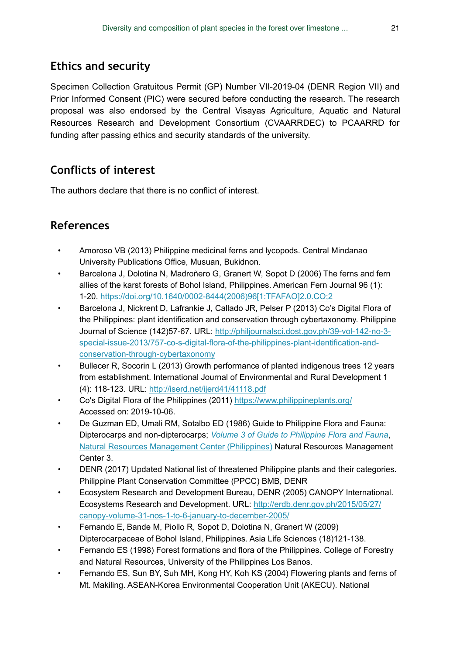# **Ethics and security**

Specimen Collection Gratuitous Permit (GP) Number VII-2019-04 (DENR Region VII) and Prior Informed Consent (PIC) were secured before conducting the research. The research proposal was also endorsed by the Central Visayas Agriculture, Aquatic and Natural Resources Research and Development Consortium (CVAARRDEC) to PCAARRD for funding after passing ethics and security standards of the university.

# **Conflicts of interest**

The authors declare that there is no conflict of interest.

# **References**

- Amoroso VB (2013) Philippine medicinal ferns and lycopods. Central Mindanao University Publications Office, Musuan, Bukidnon.
- Barcelona J, Dolotina N, Madroñero G, Granert W, Sopot D (2006) The ferns and fern allies of the karst forests of Bohol Island, Philippines. American Fern Journal 96 (1): 1‑20. [https://doi.org/10.1640/0002-8444\(2006\)96\[1:TFAFAO\]2.0.CO;2](https://doi.org/10.1640/0002-8444(2006)96%5B1:TFAFAO%5D2.0.CO;2)
- Barcelona J, Nickrent D, Lafrankie J, Callado JR, Pelser P (2013) Co's Digital Flora of the Philippines: plant identification and conservation through cybertaxonomy. Philippine Journal of Science (142)57‑67. URL: [http://philjournalsci.dost.gov.ph/39-vol-142-no-3](http://philjournalsci.dost.gov.ph/39-vol-142-no-3-special-issue-2013/757-co-s-digital-flora-of-the-philippines-plant-identification-and-conservation-through-cybertaxonomy) [special-issue-2013/757-co-s-digital-flora-of-the-philippines-plant-identification-and](http://philjournalsci.dost.gov.ph/39-vol-142-no-3-special-issue-2013/757-co-s-digital-flora-of-the-philippines-plant-identification-and-conservation-through-cybertaxonomy)[conservation-through-cybertaxonomy](http://philjournalsci.dost.gov.ph/39-vol-142-no-3-special-issue-2013/757-co-s-digital-flora-of-the-philippines-plant-identification-and-conservation-through-cybertaxonomy)
- Bullecer R, Socorin L (2013) Growth performance of planted indigenous trees 12 years from establishment. International Journal of Environmental and Rural Development 1 (4): 118‑123. URL: <http://iserd.net/ijerd41/41118.pdf>
- Co's Digital Flora of the Philippines (2011) <https://www.philippineplants.org/> Accessed on: 2019-10-06.
- De Guzman ED, Umali RM, Sotalbo ED (1986) Guide to Philippine Flora and Fauna: Dipterocarps and non-dipterocarps; *[Volume 3 of Guide to Philippine Flora and Fauna](https://www.google.com.ph/search?tbo=p&tbm=bks&q=bibliogroup:%22Guide+to+Philippine+Flora+and+Fauna%22&source=gbs_metadata_r&cad=3)*, [Natural Resources Management Center \(Philippines\)](https://www.google.com.ph/search?tbo=p&tbm=bks&q=inauthor:%22Natural+Resources+Management+Center+(Philippines)%22&source=gbs_metadata_r&cad=3) Natural Resources Management Center 3.
- DENR (2017) Updated National list of threatened Philippine plants and their categories. Philippine Plant Conservation Committee (PPCC) BMB, DENR
- Ecosystem Research and Development Bureau, DENR (2005) CANOPY International. Ecosystems Research and Development. URL: [http://erdb.denr.gov.ph/2015/05/27/](http://erdb.denr.gov.ph/2015/05/27/canopy-volume-31-nos-1-to-6-january-to-december-2005/) [canopy-volume-31-nos-1-to-6-january-to-december-2005/](http://erdb.denr.gov.ph/2015/05/27/canopy-volume-31-nos-1-to-6-january-to-december-2005/)
- Fernando E, Bande M, Piollo R, Sopot D, Dolotina N, Granert W (2009) Dipterocarpaceae of Bohol Island, Philippines. Asia Life Sciences (18)121-138.
- Fernando ES (1998) Forest formations and flora of the Philippines. College of Forestry and Natural Resources, University of the Philippines Los Banos.
- Fernando ES, Sun BY, Suh MH, Kong HY, Koh KS (2004) Flowering plants and ferns of Mt. Makiling. ASEAN-Korea Environmental Cooperation Unit (AKECU). National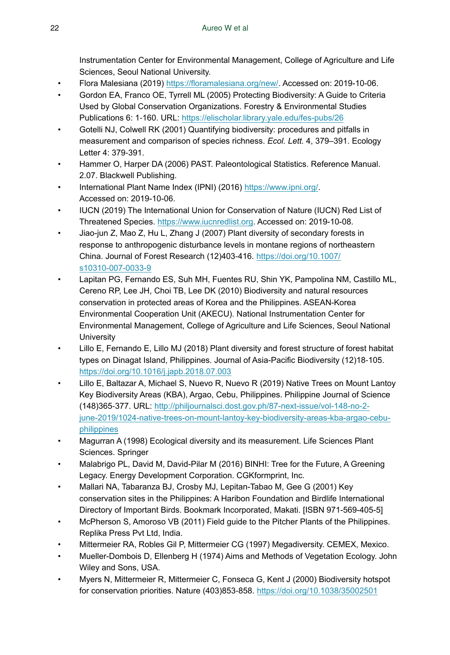Instrumentation Center for Environmental Management, College of Agriculture and Life Sciences, Seoul National University.

- Flora Malesiana (2019) <https://floramalesiana.org/new/>. Accessed on: 2019-10-06.
- Gordon EA, Franco OE, Tyrrell ML (2005) Protecting Biodiversity: A Guide to Criteria Used by Global Conservation Organizations. Forestry & Environmental Studies Publications 6: 1‑160. URL: <https://elischolar.library.yale.edu/fes-pubs/26>
- Gotelli NJ, Colwell RK (2001) Quantifying biodiversity: procedures and pitfalls in measurement and comparison of species richness. *Ecol. Lett.* 4, 379–391. Ecology Letter 4: 379‑391.
- Hammer O, Harper DA (2006) PAST. Paleontological Statistics. Reference Manual. 2.07. Blackwell Publishing.
- International Plant Name Index (IPNI) (2016) [https://www.ipni.org/.](https://www.ipni.org/) Accessed on: 2019-10-06.
- IUCN (2019) The International Union for Conservation of Nature (IUCN) Red List of Threatened Species. <https://www.iucnredlist.org>. Accessed on: 2019-10-08.
- Jiao-jun Z, Mao Z, Hu L, Zhang J (2007) Plant diversity of secondary forests in response to anthropogenic disturbance levels in montane regions of northeastern China. Journal of Forest Research (12)403‑416. [https://doi.org/10.1007/](https://doi.org/10.1007/s10310-007-0033-9) [s10310-007-0033-9](https://doi.org/10.1007/s10310-007-0033-9)
- Lapitan PG, Fernando ES, Suh MH, Fuentes RU, Shin YK, Pampolina NM, Castillo ML, Cereno RP, Lee JH, Choi TB, Lee DK (2010) Biodiversity and natural resources conservation in protected areas of Korea and the Philippines. ASEAN-Korea Environmental Cooperation Unit (AKECU). National Instrumentation Center for Environmental Management, College of Agriculture and Life Sciences, Seoul National **University**
- Lillo E, Fernando E, Lillo MJ (2018) Plant diversity and forest structure of forest habitat types on Dinagat Island, Philippines. Journal of Asia-Pacific Biodiversity (12)18‑105. <https://doi.org/10.1016/j.japb.2018.07.003>
- Lillo E, Baltazar A, Michael S, Nuevo R, Nuevo R (2019) Native Trees on Mount Lantoy Key Biodiversity Areas (KBA), Argao, Cebu, Philippines. Philippine Journal of Science (148)365‑377. URL: [http://philjournalsci.dost.gov.ph/87-next-issue/vol-148-no-2](http://philjournalsci.dost.gov.ph/87-next-issue/vol-148-no-2-june-2019/1024-native-trees-on-mount-lantoy-key-biodiversity-areas-kba-argao-cebu-philippines) [june-2019/1024-native-trees-on-mount-lantoy-key-biodiversity-areas-kba-argao-cebu](http://philjournalsci.dost.gov.ph/87-next-issue/vol-148-no-2-june-2019/1024-native-trees-on-mount-lantoy-key-biodiversity-areas-kba-argao-cebu-philippines)[philippines](http://philjournalsci.dost.gov.ph/87-next-issue/vol-148-no-2-june-2019/1024-native-trees-on-mount-lantoy-key-biodiversity-areas-kba-argao-cebu-philippines)
- Magurran A (1998) Ecological diversity and its measurement. Life Sciences Plant Sciences. Springer
- Malabrigo PL, David M, David-Pilar M (2016) BINHI: Tree for the Future, A Greening Legacy. Energy Development Corporation. CGKformprint, Inc.
- Mallari NA, Tabaranza BJ, Crosby MJ, Lepitan-Tabao M, Gee G (2001) Key conservation sites in the Philippines: A Haribon Foundation and Birdlife International Directory of Important Birds. Bookmark Incorporated, Makati. [ISBN 971-569-405-5]
- McPherson S, Amoroso VB (2011) Field guide to the Pitcher Plants of the Philippines. Replika Press Pvt Ltd, India.
- Mittermeier RA, Robles Gil P, Mittermeier CG (1997) Megadiversity. CEMEX, Mexico.
- Mueller-Dombois D, Ellenberg H (1974) Aims and Methods of Vegetation Ecology. John Wiley and Sons, USA.
- Myers N, Mittermeier R, Mittermeier C, Fonseca G, Kent J (2000) Biodiversity hotspot for conservation priorities. Nature (403)853‑858. <https://doi.org/10.1038/35002501>